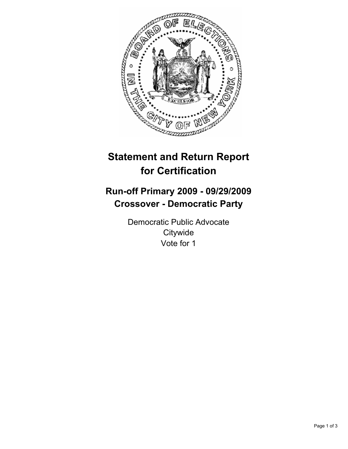

# **Statement and Return Report for Certification**

## **Run-off Primary 2009 - 09/29/2009 Crossover - Democratic Party**

Democratic Public Advocate **Citywide** Vote for 1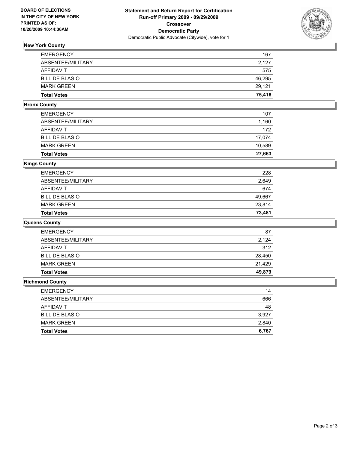

### **New York County**

| <b>EMERGENCY</b>      | 167    |
|-----------------------|--------|
| ABSENTEE/MILITARY     | 2.127  |
| AFFIDAVIT             | 575    |
| <b>BILL DE BLASIO</b> | 46,295 |
| <b>MARK GREEN</b>     | 29.121 |
| <b>Total Votes</b>    | 75,416 |

#### **Bronx County**

| <b>Total Votes</b>    | 27,663 |
|-----------------------|--------|
| <b>MARK GREEN</b>     | 10,589 |
| <b>BILL DE BLASIO</b> | 17.074 |
| AFFIDAVIT             | 172    |
| ABSENTEE/MILITARY     | 1,160  |
| <b>EMERGENCY</b>      | 107    |

#### **Kings County**

| <b>Total Votes</b>    | 73,481 |
|-----------------------|--------|
| <b>MARK GREEN</b>     | 23.814 |
| <b>BILL DE BLASIO</b> | 49,667 |
| AFFIDAVIT             | 674    |
| ABSENTEE/MILITARY     | 2,649  |
| <b>EMERGENCY</b>      | 228    |

#### **Queens County**

| <b>EMERGENCY</b>      | 87     |
|-----------------------|--------|
| ABSENTEE/MILITARY     | 2,124  |
| AFFIDAVIT             | 312    |
| <b>BILL DE BLASIO</b> | 28,450 |
| <b>MARK GREEN</b>     | 21.429 |
| <b>Total Votes</b>    | 49,879 |

#### **Richmond County**

| <b>EMERGENCY</b>      | 14    |
|-----------------------|-------|
| ABSENTEE/MILITARY     | 666   |
| AFFIDAVIT             | 48    |
| <b>BILL DE BLASIO</b> | 3.927 |
| <b>MARK GREEN</b>     | 2,840 |
| <b>Total Votes</b>    | 6,767 |